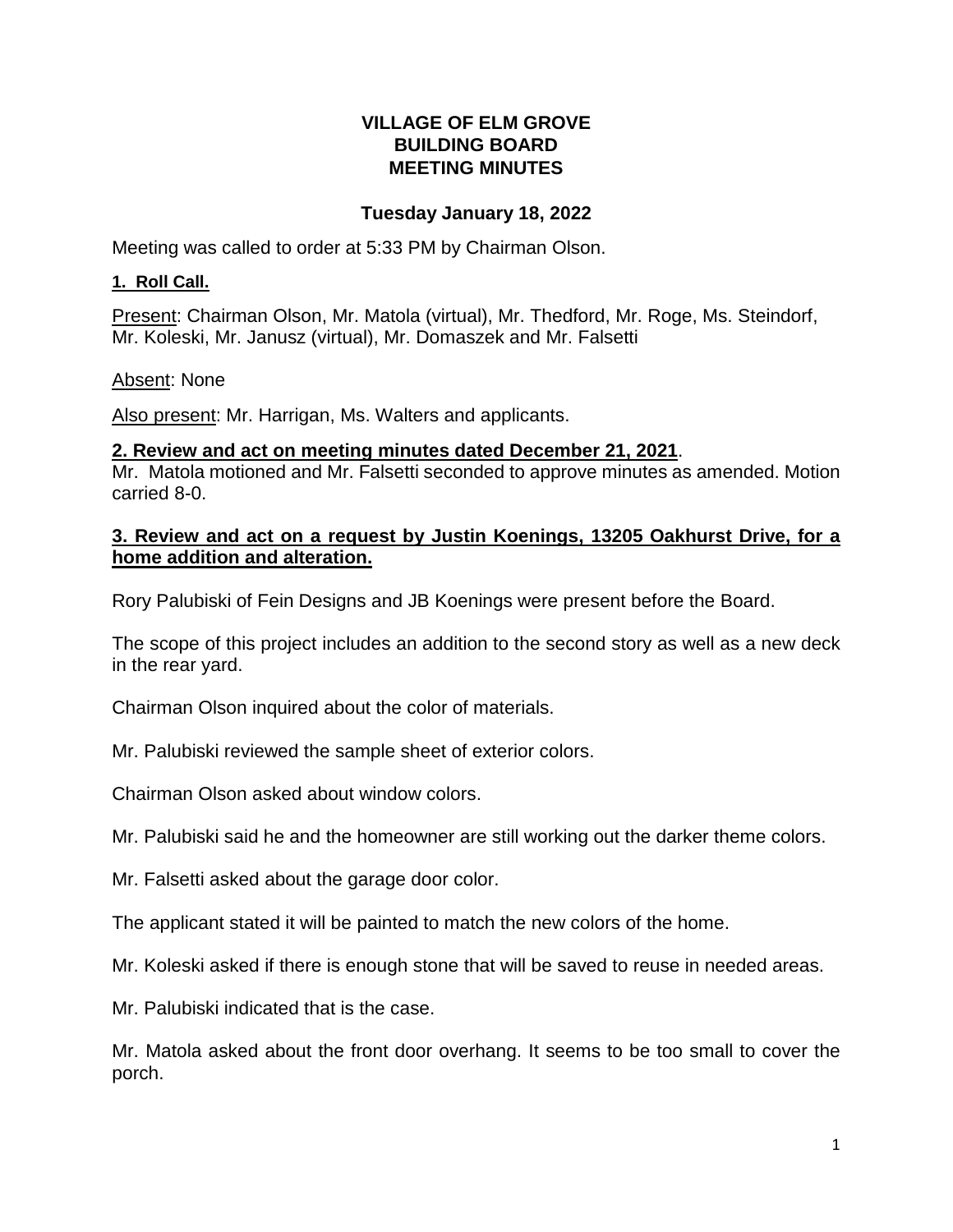#### **VILLAGE OF ELM GROVE BUILDING BOARD MEETING MINUTES**

## **Tuesday January 18, 2022**

Meeting was called to order at 5:33 PM by Chairman Olson.

## **1. Roll Call.**

Present: Chairman Olson, Mr. Matola (virtual), Mr. Thedford, Mr. Roge, Ms. Steindorf, Mr. Koleski, Mr. Janusz (virtual), Mr. Domaszek and Mr. Falsetti

# Absent: None

Also present: Mr. Harrigan, Ms. Walters and applicants.

## **2. Review and act on meeting minutes dated December 21, 2021**.

Mr. Matola motioned and Mr. Falsetti seconded to approve minutes as amended. Motion carried 8-0.

## **3. Review and act on a request by Justin Koenings, 13205 Oakhurst Drive, for a home addition and alteration.**

Rory Palubiski of Fein Designs and JB Koenings were present before the Board.

The scope of this project includes an addition to the second story as well as a new deck in the rear yard.

Chairman Olson inquired about the color of materials.

Mr. Palubiski reviewed the sample sheet of exterior colors.

Chairman Olson asked about window colors.

Mr. Palubiski said he and the homeowner are still working out the darker theme colors.

Mr. Falsetti asked about the garage door color.

The applicant stated it will be painted to match the new colors of the home.

Mr. Koleski asked if there is enough stone that will be saved to reuse in needed areas.

Mr. Palubiski indicated that is the case.

Mr. Matola asked about the front door overhang. It seems to be too small to cover the porch.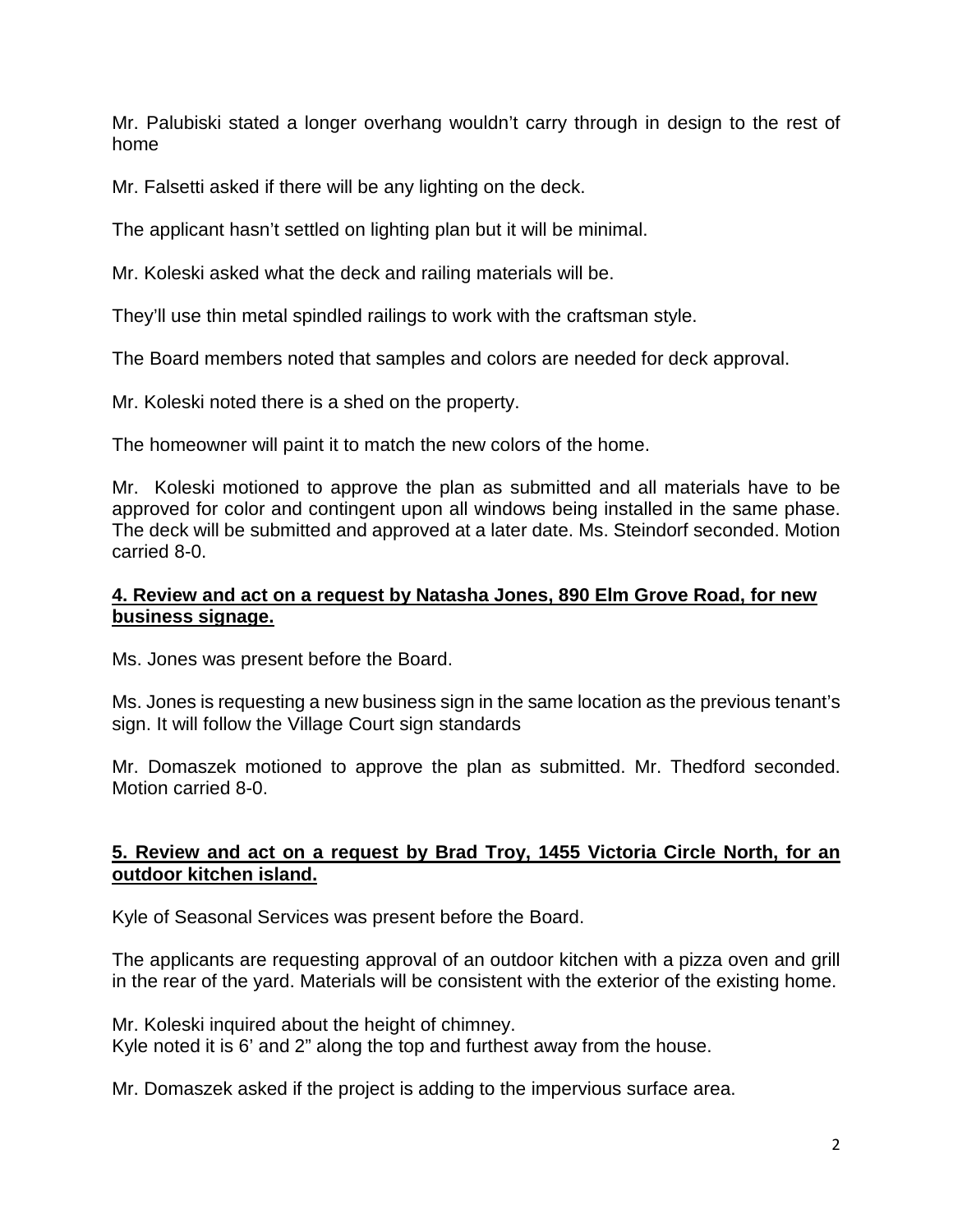Mr. Palubiski stated a longer overhang wouldn't carry through in design to the rest of home

Mr. Falsetti asked if there will be any lighting on the deck.

The applicant hasn't settled on lighting plan but it will be minimal.

Mr. Koleski asked what the deck and railing materials will be.

They'll use thin metal spindled railings to work with the craftsman style.

The Board members noted that samples and colors are needed for deck approval.

Mr. Koleski noted there is a shed on the property.

The homeowner will paint it to match the new colors of the home.

Mr. Koleski motioned to approve the plan as submitted and all materials have to be approved for color and contingent upon all windows being installed in the same phase. The deck will be submitted and approved at a later date. Ms. Steindorf seconded. Motion carried 8-0.

#### **4. Review and act on a request by Natasha Jones, 890 Elm Grove Road, for new business signage.**

Ms. Jones was present before the Board.

Ms. Jones is requesting a new business sign in the same location as the previous tenant's sign. It will follow the Village Court sign standards

Mr. Domaszek motioned to approve the plan as submitted. Mr. Thedford seconded. Motion carried 8-0.

## **5. Review and act on a request by Brad Troy, 1455 Victoria Circle North, for an outdoor kitchen island.**

Kyle of Seasonal Services was present before the Board.

The applicants are requesting approval of an outdoor kitchen with a pizza oven and grill in the rear of the yard. Materials will be consistent with the exterior of the existing home.

Mr. Koleski inquired about the height of chimney. Kyle noted it is 6' and 2" along the top and furthest away from the house.

Mr. Domaszek asked if the project is adding to the impervious surface area.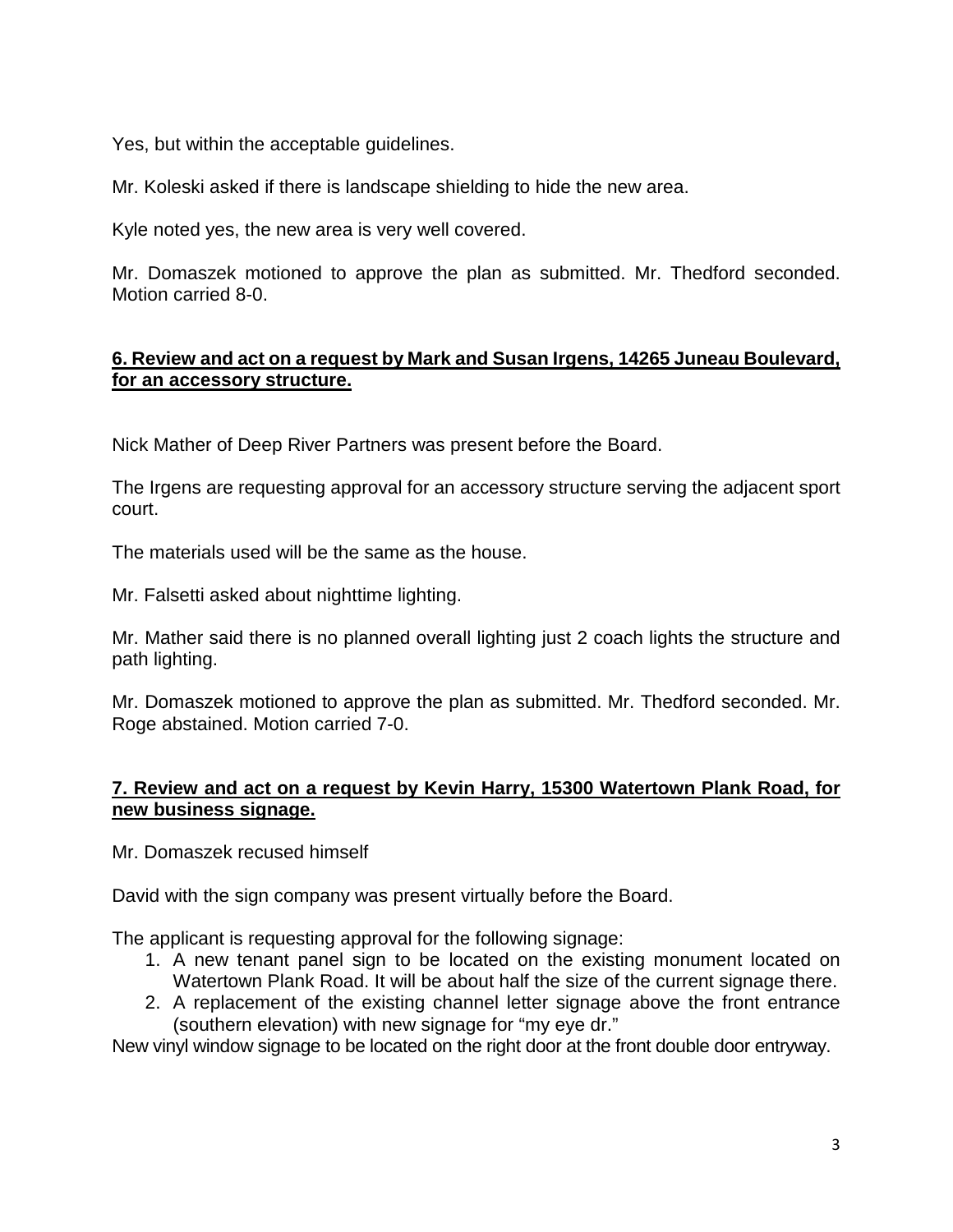Yes, but within the acceptable guidelines.

Mr. Koleski asked if there is landscape shielding to hide the new area.

Kyle noted yes, the new area is very well covered.

Mr. Domaszek motioned to approve the plan as submitted. Mr. Thedford seconded. Motion carried 8-0.

# **6. Review and act on a request by Mark and Susan Irgens, 14265 Juneau Boulevard, for an accessory structure.**

Nick Mather of Deep River Partners was present before the Board.

The Irgens are requesting approval for an accessory structure serving the adjacent sport court.

The materials used will be the same as the house.

Mr. Falsetti asked about nighttime lighting.

Mr. Mather said there is no planned overall lighting just 2 coach lights the structure and path lighting.

Mr. Domaszek motioned to approve the plan as submitted. Mr. Thedford seconded. Mr. Roge abstained. Motion carried 7-0.

## **7. Review and act on a request by Kevin Harry, 15300 Watertown Plank Road, for new business signage.**

Mr. Domaszek recused himself

David with the sign company was present virtually before the Board.

The applicant is requesting approval for the following signage:

- 1. A new tenant panel sign to be located on the existing monument located on Watertown Plank Road. It will be about half the size of the current signage there.
- 2. A replacement of the existing channel letter signage above the front entrance (southern elevation) with new signage for "my eye dr."

New vinyl window signage to be located on the right door at the front double door entryway.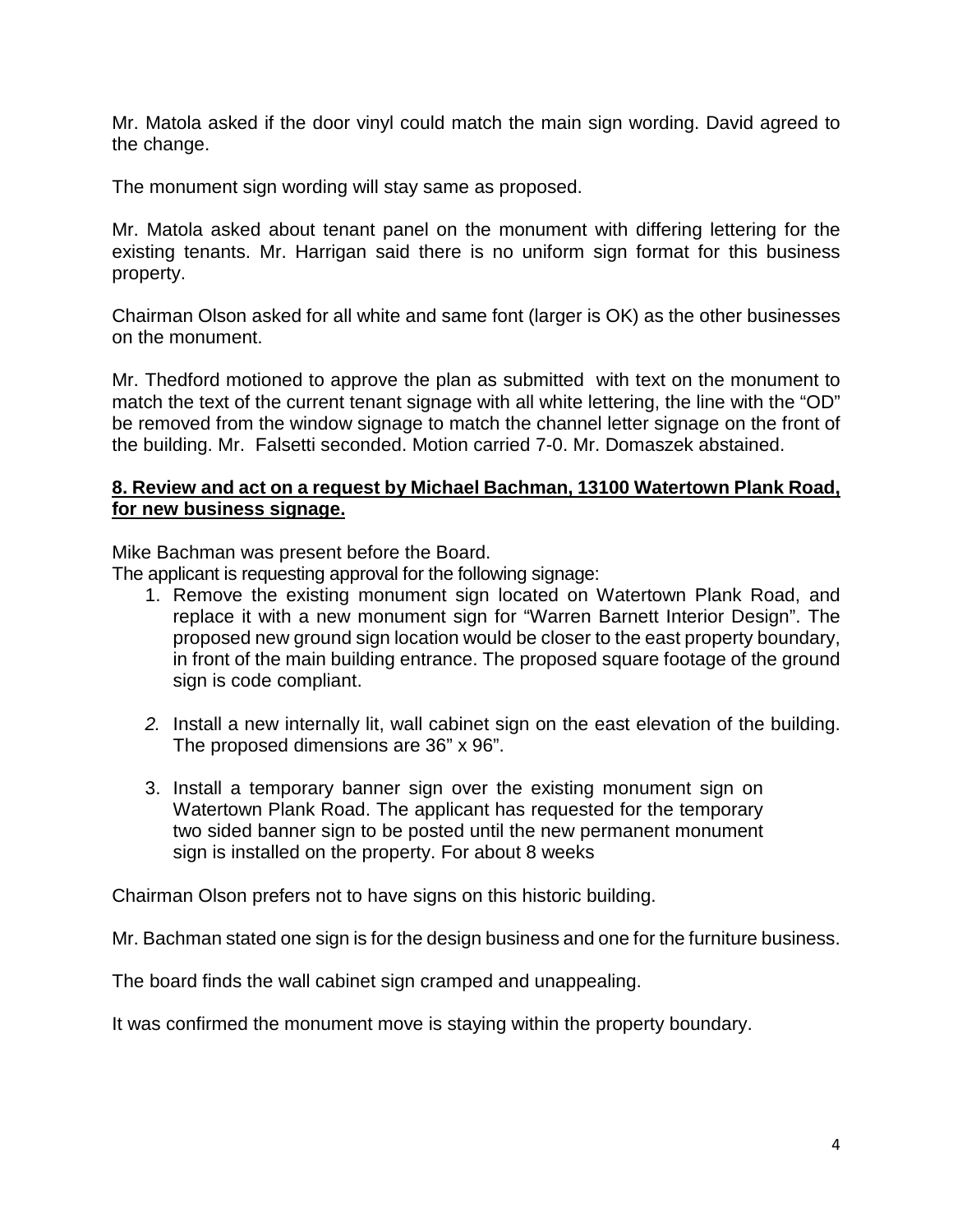Mr. Matola asked if the door vinyl could match the main sign wording. David agreed to the change.

The monument sign wording will stay same as proposed.

Mr. Matola asked about tenant panel on the monument with differing lettering for the existing tenants. Mr. Harrigan said there is no uniform sign format for this business property.

Chairman Olson asked for all white and same font (larger is OK) as the other businesses on the monument.

Mr. Thedford motioned to approve the plan as submitted with text on the monument to match the text of the current tenant signage with all white lettering, the line with the "OD" be removed from the window signage to match the channel letter signage on the front of the building. Mr. Falsetti seconded. Motion carried 7-0. Mr. Domaszek abstained.

#### **8. Review and act on a request by Michael Bachman, 13100 Watertown Plank Road, for new business signage.**

Mike Bachman was present before the Board.

The applicant is requesting approval for the following signage:

- 1. Remove the existing monument sign located on Watertown Plank Road, and replace it with a new monument sign for "Warren Barnett Interior Design". The proposed new ground sign location would be closer to the east property boundary, in front of the main building entrance. The proposed square footage of the ground sign is code compliant.
- *2.* Install a new internally lit, wall cabinet sign on the east elevation of the building. The proposed dimensions are 36" x 96".
- 3. Install a temporary banner sign over the existing monument sign on Watertown Plank Road. The applicant has requested for the temporary two sided banner sign to be posted until the new permanent monument sign is installed on the property. For about 8 weeks

Chairman Olson prefers not to have signs on this historic building.

Mr. Bachman stated one sign is for the design business and one for the furniture business.

The board finds the wall cabinet sign cramped and unappealing.

It was confirmed the monument move is staying within the property boundary.